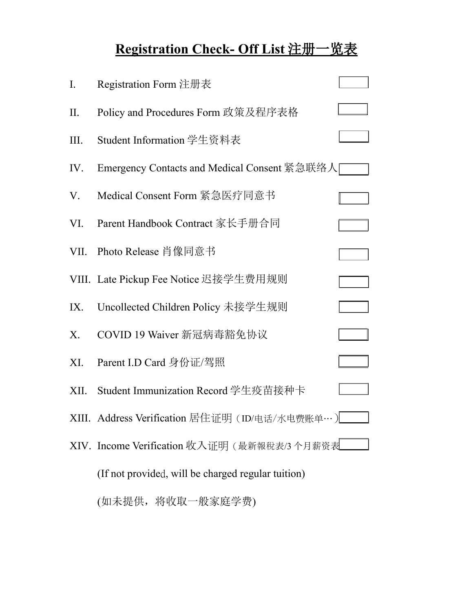# **Registration Check- Off List** 注册一览表

| I.    | Registration Form 注册表                              |  |
|-------|----------------------------------------------------|--|
| II.   | Policy and Procedures Form 政策及程序表格                 |  |
| Ш.    | Student Information 学生资料表                          |  |
| IV.   | Emergency Contacts and Medical Consent 紧急联络人       |  |
| V.    | Medical Consent Form 紧急医疗同意书                       |  |
| VI.   | Parent Handbook Contract 家长手册合同                    |  |
| VII.  | Photo Release 肖像同意书                                |  |
|       | VIII. Late Pickup Fee Notice 迟接学生费用规则              |  |
| IX.   | Uncollected Children Policy 未接学生规则                 |  |
| X.    | COVID 19 Waiver 新冠病毒豁免协议                           |  |
| XI.   | Parent I.D Card 身份证/驾照                             |  |
| XII.  | Student Immunization Record 学生疫苗接种卡                |  |
| XIII. | Address Verification 居住证明 (ID/电话/水电费账单…)           |  |
|       | XIV. Income Verification 收入证明(最新報稅表/3个月薪资表         |  |
|       | (If not provided, will be charged regular tuition) |  |
|       | (如未提供,将收取一般家庭学费)                                   |  |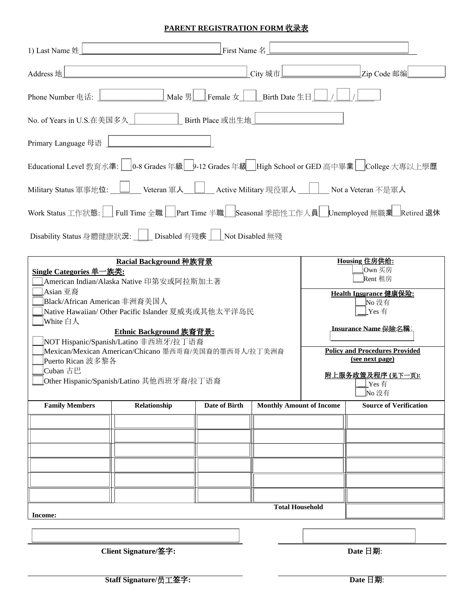### **PARENT REGISTRATION FORM** 收录表

| 1) Last Name 姓                                                                                                                                                                                                                                                                                                                                                                                                                  |              | First Name 名         |                                 |  |                                                                                                                                                                                                                      |
|---------------------------------------------------------------------------------------------------------------------------------------------------------------------------------------------------------------------------------------------------------------------------------------------------------------------------------------------------------------------------------------------------------------------------------|--------------|----------------------|---------------------------------|--|----------------------------------------------------------------------------------------------------------------------------------------------------------------------------------------------------------------------|
| Address 地                                                                                                                                                                                                                                                                                                                                                                                                                       |              |                      | City 城市                         |  | Zip Code 邮编                                                                                                                                                                                                          |
| Phone Number 电话:                                                                                                                                                                                                                                                                                                                                                                                                                |              |                      |                                 |  |                                                                                                                                                                                                                      |
| No. of Years in U.S.在美国多久   Birth Place 或出生地                                                                                                                                                                                                                                                                                                                                                                                    |              |                      |                                 |  |                                                                                                                                                                                                                      |
| Primary Language 母语                                                                                                                                                                                                                                                                                                                                                                                                             |              |                      |                                 |  |                                                                                                                                                                                                                      |
|                                                                                                                                                                                                                                                                                                                                                                                                                                 |              |                      |                                 |  | Educational Level 教育水準:   0-8 Grades 年級   9-12 Grades 年級   High School or GED 高中畢業   College 大專以上學歷                                                                                                                  |
| Military Status 軍事地位:       Veteran 軍人       Active Military 現役軍人       Not a Veteran 不是軍人                                                                                                                                                                                                                                                                                                                                      |              |                      |                                 |  |                                                                                                                                                                                                                      |
|                                                                                                                                                                                                                                                                                                                                                                                                                                 |              |                      |                                 |  | Work Status 工作狀態:     Full Time 全職     Part Time 半職    Seasonal 季節性工作人員   Unemployed 無職業   Retired 退休                                                                                                                |
| Disability Status 身體健康狀況:     Disabled 有殘疾     Not Disabled 無殘                                                                                                                                                                                                                                                                                                                                                                  |              |                      |                                 |  |                                                                                                                                                                                                                      |
| Racial Background 种族背景<br>Single Categories 单一族类:<br>American Indian/Alaska Native 印第安或阿拉斯加土著<br>Asian 亚裔<br>Black/African American 非洲裔美国人<br>Native Hawaiian/ Other Pacific Islander 夏威夷或其他太平洋岛民<br> White 白人<br><b>Ethnic Background 族裔背景:</b><br>NOT Hispanic/Spanish/Latino 非西班牙/拉丁语裔<br>Mexican/Mexican American/Chicano 墨西哥裔/美国裔的墨西哥人/拉丁美洲裔<br>Puerto Rican 波多黎各<br>Cuban 古巴<br>Other Hispanic/Spanish/Latino 其他西班牙裔/拉丁语裔 |              |                      |                                 |  | Housing 住房供给:<br>lOwn 买房<br>Rent 租房<br>Health Insurance 健康保险:<br>No 没有<br>Yes 有<br><b>Insurance Name 保險名稱:</b><br><b>Policy and Procedures Provided</b><br>(see next page)<br>附上服务政策及程序 (见下一页):<br>$Y$ es 有<br>No 没有 |
| <b>Family Members</b>                                                                                                                                                                                                                                                                                                                                                                                                           | Relationship | <b>Date of Birth</b> | <b>Monthly Amount of Income</b> |  | <b>Source of Verification</b>                                                                                                                                                                                        |
|                                                                                                                                                                                                                                                                                                                                                                                                                                 |              |                      |                                 |  |                                                                                                                                                                                                                      |
|                                                                                                                                                                                                                                                                                                                                                                                                                                 |              |                      |                                 |  |                                                                                                                                                                                                                      |
|                                                                                                                                                                                                                                                                                                                                                                                                                                 |              |                      |                                 |  |                                                                                                                                                                                                                      |
|                                                                                                                                                                                                                                                                                                                                                                                                                                 |              |                      |                                 |  |                                                                                                                                                                                                                      |
|                                                                                                                                                                                                                                                                                                                                                                                                                                 |              |                      |                                 |  |                                                                                                                                                                                                                      |
| <b>Total Household</b><br>Income:                                                                                                                                                                                                                                                                                                                                                                                               |              |                      |                                 |  |                                                                                                                                                                                                                      |
|                                                                                                                                                                                                                                                                                                                                                                                                                                 |              |                      |                                 |  |                                                                                                                                                                                                                      |

 **Client Signature/**签字**: Date** 日期: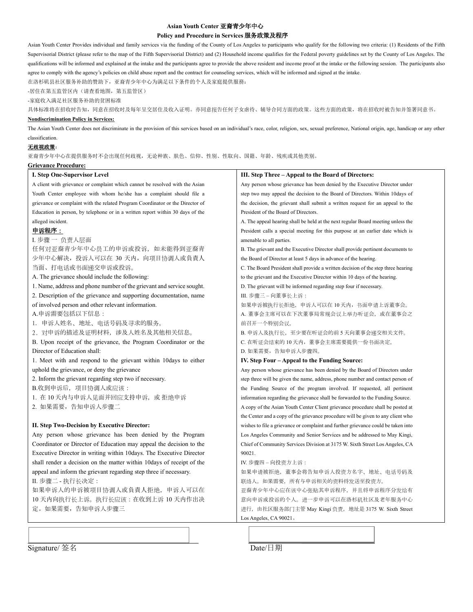### **Asian Youth Center** 亚裔青少年中心

### **Policy and Procedure in Services** 服务政策及程序

Asian Youth Center Provides individual and family services via the funding of the County of Los Angeles to participants who qualify for the following two criteria: (1) Residents of the Fifth Supervisorial District (please refer to the map of the Fifth Supervisorial District) and (2) Household income qualifies for the Federal poverty guidelines set by the County of Los Angeles. The qualifications will be informed and explained at the intake and the participants agree to provide the above resident and income proof at the intake or the following session. The participants also agree to comply with the agency's policies on child abuse report and the contract for counseling services, which will be informed and signed at the intake.

在洛杉矶县社区服务补助的赞助下,亚裔青少年中心为满足以下条件的个人及家庭提供服務:

-居住在第五监管区内(请查看地图,第五监管区)

-家庭收入满足社区服务补助的贫困标准

具体标准将在招收时告知,同意在招收时及每年呈交居住及收入证明。亦同意报告任何子女虐待、辅导合同方面的政策。这些方面的政策,将在招收时被告知并签署同意书。

#### **Nondiscrimination Policy in Services:**

The Asian Youth Center does not discriminate in the provision of this services based on an individual's race, color, religion, sex, sexual preference, National origin, age, handicap or any other classification.

#### 无歧视政策:

亚裔青少年中心在提供服务时不会出现任何歧视,无论种族、肤色、信仰、性别、性取向、国籍、年龄、残疾或其他类别。

| <u> Grievance Procedure:</u>                                                   |                                                                                   |  |  |
|--------------------------------------------------------------------------------|-----------------------------------------------------------------------------------|--|--|
| I. Step One-Supervisor Level                                                   | III. Step Three – Appeal to the Board of Directors:                               |  |  |
| A client with grievance or complaint which cannot be resolved with the Asian   | Any person whose grievance has been denied by the Executive Director under        |  |  |
| Youth Center employee with whom he/she has a complaint should file a           | step two may appeal the decision to the Board of Directors. Within 10days of      |  |  |
| grievance or complaint with the related Program Coordinator or the Director of | the decision, the grievant shall submit a written request for an appeal to the    |  |  |
| Education in person, by telephone or in a written report within 30 days of the | President of the Board of Directors.                                              |  |  |
| alleged incident.                                                              | A. The appeal hearing shall be held at the next regular Board meeting unless the  |  |  |
| 申诉程序:                                                                          | President calls a special meeting for this purpose at an earlier date which is    |  |  |
| I. 步骤 一 负责人层面                                                                  | amenable to all parties.                                                          |  |  |
| 任何对亚裔青少年中心员工的申诉或投诉, 如未能得到亚裔青                                                   | B. The grievant and the Executive Director shall provide pertinent documents to   |  |  |
| 少年中心解决, 投诉人可以在 30 天内, 向项目协调人或負責人                                               | the Board of Director at least 5 days in advance of the hearing.                  |  |  |
| 当面、打电话或书面递交申诉或投诉。                                                              | C. The Board President shall provide a written decision of the step three hearing |  |  |
| A. The grievance should include the following:                                 | to the grievant and the Executive Director within 10 days of the hearing.         |  |  |
| 1. Name, address and phone number of the grievant and service sought.          | D. The grievant will be informed regarding step four if necessary.                |  |  |
| 2. Description of the grievance and supporting documentation, name             | III. 步骤三 - 向董事长上诉:                                                                |  |  |
| of involved person and other relevant information.                             | 如果申诉被执行长拒绝,申诉人可以在 10 天内,书面申请上诉董事会。                                                |  |  |
| A.申诉需要包括以下信息:                                                                  | A. 董事会主席可以在下次董事局常规会议上举办听证会, 或在董事会之                                                |  |  |
| 1. 申诉人姓名、地址、电话号码及寻求的服务。                                                        | 前召开一个特别会议。                                                                        |  |  |
| 2. 对申诉的描述及证明材料, 涉及人姓名及其他相关信息。                                                  | B. 申诉人及执行长, 至少要在听证会的前 5 天向董事会递交相关文件。                                              |  |  |
| B. Upon receipt of the grievance, the Program Coordinator or the               | C. 在听证会结束的 10 天内,董事会主席需要提供一份书面决定。                                                 |  |  |
| Director of Education shall:                                                   | D. 如果需要, 告知申诉人步骤四。                                                                |  |  |
| 1. Meet with and respond to the grievant within 10days to either               | IV. Step Four – Appeal to the Funding Source:                                     |  |  |
| uphold the grievance, or deny the grievance                                    | Any person whose grievance has been denied by the Board of Directors under        |  |  |
| 2. Inform the grievant regarding step two if necessary.                        | step three will be given the name, address, phone number and contact person of    |  |  |
| B.收到申诉后, 项目协调人或应该:                                                             | the Funding Source of the program involved. If requested, all pertinent           |  |  |
| 1. 在 10 天内与申诉人见面并回应支持申诉,或 拒绝申诉                                                 | information regarding the grievance shall be forwarded to the Funding Source.     |  |  |
| 2. 如果需要, 告知申诉人步骤二                                                              | A copy of the Asian Youth Center Client grievance procedure shall be posted at    |  |  |
|                                                                                | the Center and a copy of the grievance procedure will be given to any client who  |  |  |
| II. Step Two-Decision by Executive Director:                                   | wishes to file a grievance or complaint and further grievance could be taken into |  |  |
| Any person whose grievance has been denied by the Program                      | Los Angeles Community and Senior Services and be addressed to May Kingi,          |  |  |
| Coordinator or Director of Education may appeal the decision to the            | Chief of Community Services Division at 3175 W. Sixth Street Los Angeles, CA      |  |  |
| Executive Director in writing within 10 days. The Executive Director           | 90021.                                                                            |  |  |
| shall render a decision on the matter within 10 days of receipt of the         | IV. 步骤四 - 向投资方上诉:                                                                 |  |  |
| appeal and inform the grievant regarding step three if necessary.              | 如果申请被拒绝,董事会将告知申诉人投资方名字、地址、电话号码及                                                   |  |  |
| II. 步骤二 - 执行长决定:                                                               | 联络人。如果需要, 所有与申诉相关的资料将发送至投资方。                                                      |  |  |
| 如果申诉人的申诉被项目协调人或負責人拒绝,申诉人可以在                                                    | 亚裔青少年中心应在该中心张贴其申诉程序,并且将申诉程序分发给有                                                   |  |  |
| 10天内向执行长上诉。执行长应该: 在收到上诉 10天内作出决                                                | 意向申诉或投诉的个人。进一步申诉可以在洛杉矶社区及老年服务中心                                                   |  |  |
| 定。如果需要, 告知申诉人步骤三                                                               | 进行, 由社区服务部门主管 May Kingi 负责, 地址是 3175 W. Sixth Street                              |  |  |
|                                                                                | Los Angeles, CA 90021.                                                            |  |  |
|                                                                                |                                                                                   |  |  |
|                                                                                |                                                                                   |  |  |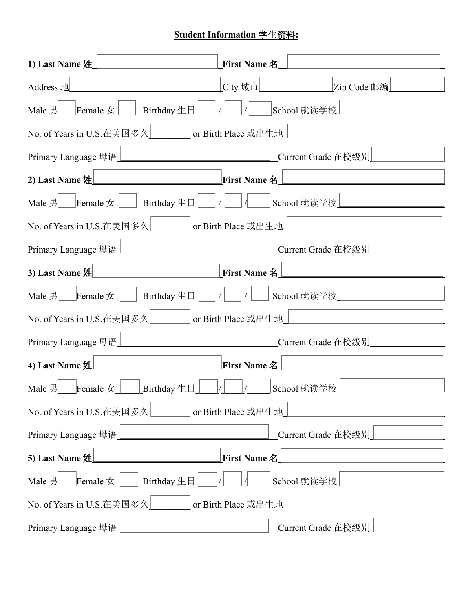## **Student Information** 学生资料**:**

| 1) Last Name 姓」                                                                                                | First Name 名        | <u> a componente de la propia de la propia de la propia de la propia de la propia de la propia de la propia de la</u> |  |  |  |
|----------------------------------------------------------------------------------------------------------------|---------------------|-----------------------------------------------------------------------------------------------------------------------|--|--|--|
| Address 地LADD And The Contract of the Contract of the Contract of the Contract of the Contract of the Contract |                     | _City 城市__________________________Zip Code 邮编___________                                                              |  |  |  |
| Male 男<br>Female 女<br>School 就读学校<br>School 就读学校                                                               |                     |                                                                                                                       |  |  |  |
| No. of Years in U.S.在美国多久<br><u> </u> or Birth Place 或出生地                                                      |                     |                                                                                                                       |  |  |  |
|                                                                                                                |                     |                                                                                                                       |  |  |  |
|                                                                                                                |                     |                                                                                                                       |  |  |  |
| Male 男<br>Female 女<br><u> Birthday 生日<br/>                     </u> School 就读学校<br><u> </u>                    |                     |                                                                                                                       |  |  |  |
|                                                                                                                |                     |                                                                                                                       |  |  |  |
|                                                                                                                |                     |                                                                                                                       |  |  |  |
| 3) Last Name $\frac{1}{2}$ Last Name $\frac{1}{2}$ First Name $\frac{2}{3}$                                    |                     |                                                                                                                       |  |  |  |
|                                                                                                                |                     |                                                                                                                       |  |  |  |
|                                                                                                                |                     |                                                                                                                       |  |  |  |
|                                                                                                                |                     |                                                                                                                       |  |  |  |
| 4) Last Name $\frac{1}{2}$ Last Name $\frac{1}{2}$ First Name $\frac{2}{3}$                                    |                     |                                                                                                                       |  |  |  |
|                                                                                                                |                     |                                                                                                                       |  |  |  |
| No. of Years in U.S.在美国多久<br>or Birth Place 或出生地                                                               |                     |                                                                                                                       |  |  |  |
| Primary Language 母语                                                                                            |                     | Current Grade 在校级别                                                                                                    |  |  |  |
| 5) Last Name 姓<br><b>First Name 名</b>                                                                          |                     |                                                                                                                       |  |  |  |
| Female $\pm$<br>Birthday $\pm \Box$<br>Male $\frac{m}{2}$                                                      |                     | School 就读学校                                                                                                           |  |  |  |
| No. of Years in U.S.在美国多久                                                                                      | or Birth Place 或出生地 |                                                                                                                       |  |  |  |
| Primary Language 母语                                                                                            |                     | Current Grade 在校级别                                                                                                    |  |  |  |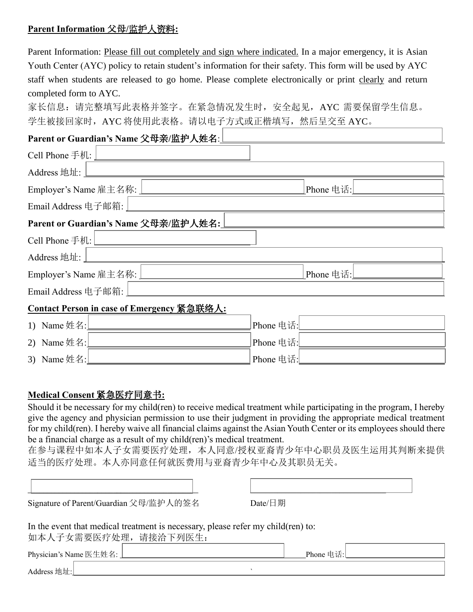## **Parent Information** 父母**/**监护人资料**:**

Parent Information: Please fill out completely and sign where indicated. In a major emergency, it is Asian Youth Center (AYC) policy to retain student's information for their safety. This form will be used by AYC staff when students are released to go home. Please complete electronically or print clearly and return completed form to AYC.

家长信息: 请完整填写此表格并签字。在紧急情况发生时, 安全起见, AYC 需要保留学生信息。 学生被接回家时, AYC 将使用此表格。请以电子方式或正楷填写, 然后呈交至 AYC。

## **Parent or Guardian's Name** 父母亲**/**监护人姓名:

| Cell Phone 手机: $\lfloor$                                               |           |  |  |  |
|------------------------------------------------------------------------|-----------|--|--|--|
| Address 地址:                                                            |           |  |  |  |
| Phone 电话:                                                              |           |  |  |  |
| Email Address 电子邮箱:                                                    |           |  |  |  |
| Parent or Guardian's Name 父母亲/监护人姓名:                                   |           |  |  |  |
| Cell Phone 手机: $\Box$                                                  |           |  |  |  |
| Address 地址:                                                            |           |  |  |  |
| Employer's Name 雇主名称:  <br>Phone 电话:<br><u>—</u> ———————               |           |  |  |  |
| Email Address 电子邮箱:                                                    |           |  |  |  |
| Contact Person in case of Emergency 紧急联络人:                             |           |  |  |  |
| 1) Name 姓名: $\sqrt{\frac{2\pi}{1-\frac{1}{2}} \pi \frac{2\pi}{\pi^2}}$ | Phone 电话: |  |  |  |
| 2) Name 姓名:                                                            | Phone 电话: |  |  |  |

3) Name 姓名: Phone 电话:

## **Medical Consent** 紧急医疗同意书**:**

Should it be necessary for my child(ren) to receive medical treatment while participating in the program, I hereby give the agency and physician permission to use their judgment in providing the appropriate medical treatment for my child(ren). I hereby waive all financial claims against the Asian Youth Center or its employees should there be a financial charge as a result of my child(ren)'s medical treatment.

在参与课程中如本人子女需要医疗处理,本人同意/授权亚裔青少年中心职员及医生运用其判断来提供 适当的医疗处理。本人亦同意任何就医费用与亚裔青少年中心及其职员无关。

| Signature of Parent/Guardian 父母/监护人的签名 | Date/日期 |
|----------------------------------------|---------|

In the event that medical treatment is necessary, please refer my child(ren) to: 如本人子女需要医疗处理,请接洽下列医生:

| Physician's Name 医生姓名: | Phone $\#$<br>电话: |  |
|------------------------|-------------------|--|
| Address 地址:            |                   |  |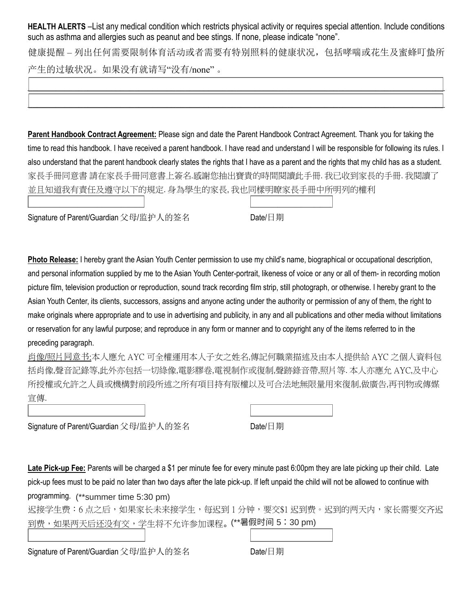**HEALTH ALERTS** –List any medical condition which restricts physical activity or requires special attention. Include conditions such as asthma and allergies such as peanut and bee stings. If none, please indicate "none".

健康提醒 – 列出任何需要限制体育活动或者需要有特别照料的健康状况,包括哮喘或花生及蜜蜂叮蛰所 产生的过敏状况。如果没有就请写"没有/none" 。

\_\_\_\_\_\_\_\_\_\_\_\_\_\_\_\_\_\_\_\_\_\_\_\_\_\_\_\_\_\_\_\_\_\_\_\_\_\_\_\_\_\_\_\_\_\_\_\_\_\_\_\_\_\_\_\_\_\_\_\_\_\_\_\_\_\_\_\_\_\_\_\_\_\_\_\_\_\_\_\_\_\_\_\_\_\_\_\_\_\_

\_\_\_\_\_\_\_\_\_\_\_\_\_\_\_\_\_\_\_\_\_\_\_\_\_\_\_\_\_\_\_\_\_\_\_\_\_\_\_\_\_\_\_\_\_\_\_\_\_\_\_\_\_\_\_\_\_\_\_\_\_\_\_\_\_\_\_\_\_\_\_\_\_\_\_\_\_\_\_\_\_\_\_\_\_\_\_\_\_\_

**Parent Handbook Contract Agreement:** Please sign and date the Parent Handbook Contract Agreement. Thank you for taking the time to read this handbook. I have received a parent handbook. I have read and understand I will be responsible for following its rules. I also understand that the parent handbook clearly states the rights that I have as a parent and the rights that my child has as a student. 家長手冊同意書 請在家長手冊同意書上簽名.感謝您抽出寶貴的時間閱讀此手冊. 我已收到家長的手冊. 我閱讀了 並且知道我有責任及遵守以下的規定. 身為學生的家長, 我也同樣明瞭家長手冊中所明列的權利

 $\Box$  . The contract of the contract of the contract of the contract of the contract of the contract of the contract of the contract of the contract of the contract of the contract of the contract of the contract of the co

 $\Box$  . The contract of the contract of the contract of the contract of the contract of the contract of the contract of the contract of the contract of the contract of the contract of the contract of the contract of the co

 $\Box$  . The contract of the contract of the contract of the contract of the contract of the contract of the contract of the contract of the contract of the contract of the contract of the contract of the contract of the co

Signature of Parent/Guardian 父母/监护人的签名 Date/日期

**Photo Release:** I hereby grant the Asian Youth Center permission to use my child's name, biographical or occupational description, and personal information supplied by me to the Asian Youth Center-portrait, likeness of voice or any or all of them- in recording motion picture film, television production or reproduction, sound track recording film strip, still photograph, or otherwise. I hereby grant to the Asian Youth Center, its clients, successors, assigns and anyone acting under the authority or permission of any of them, the right to make originals where appropriate and to use in advertising and publicity, in any and all publications and other media without limitations or reservation for any lawful purpose; and reproduce in any form or manner and to copyright any of the items referred to in the preceding paragraph.

肖像/照片同意书:本人應允 AYC 可全權運用本人子女之姓名,傳記何職業描述及由本人提供給 AYC 之個人資料包 括肖像,聲音記錄等,此外亦包括一切綠像,電影膠卷,電視制作或復制,聲跡錄音帶,照片等. 本人亦應允 AYC,及中心 所授權或允許之人員或機構對前段所述之所有項目持有版權以及可合法地無限量用來復制,做廣告,再刊物或傳媒 宣傳.

Signature of Parent/Guardian 父母/监护人的签名 Date/日期

**Late Pick-up Fee:** Parents will be charged a \$1 per minute fee for every minute past 6:00pm they are late picking up their child. Late pick-up fees must to be paid no later than two days after the late pick-up. If left unpaid the child will not be allowed to continue with

programming. (\*\*summer time 5:30 pm)

迟接学生费:6 点之后,如果家长未来接学生,每迟到 1 分钟,要交\$1 迟到费。迟到的两天内,家长需要交齐迟 到费,如果两天后还没有交,学生将不允许参加课程。(\*\*暑假时间 5:30 pm)

Signature of Parent/Guardian 父母/监护人的签名 Date/日期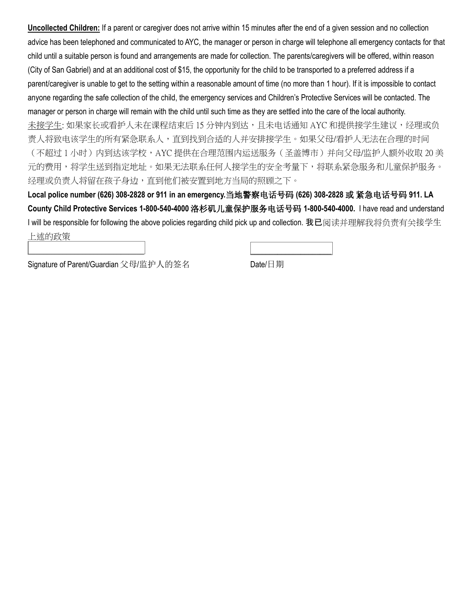**Uncollected Children:** If a parent or caregiver does not arrive within 15 minutes after the end of a given session and no collection advice has been telephoned and communicated to AYC, the manager or person in charge will telephone all emergency contacts for that child until a suitable person is found and arrangements are made for collection. The parents/caregivers will be offered, within reason (City of San Gabriel) and at an additional cost of \$15, the opportunity for the child to be transported to a preferred address if a parent/caregiver is unable to get to the setting within a reasonable amount of time (no more than 1 hour). If it is impossible to contact anyone regarding the safe collection of the child, the emergency services and Children's Protective Services will be contacted. The manager or person in charge will remain with the child until such time as they are settled into the care of the local authority. 未接学生: 如果家长或看护人未在课程结束后 15 分钟内到达,且未电话通知 AYC 和提供接学生建议,经理或负 责人将致电该学生的所有紧急联系人,直到找到合适的人并安排接学生。如果父母/看护人无法在合理的时间 (不超过 1 小时)内到达该学校,AYC 提供在合理范围内运送服务(圣盖博市)并向父母/监护人额外收取 20 美 元的费用,将学生送到指定地址。如果无法联系任何人接学生的安全考量下,将联系紧急服务和儿童保护服务。 经理或负责人将留在孩子身边,直到他们被安置到地方当局的照顾之下。

**Local police number (626) 308-2828 or 911 in an emergency.**当地警察电话号码 **(626) 308-2828** 或 紧急电话号码 **911. LA County Child Protective Services 1-800-540-4000** 洛杉矶儿童保护服务电话号码 **1-800-540-4000.** I have read and understand I will be responsible for following the above policies regarding child pick up and collection. 我已阅读并理解我将负责有关接学生 上述的政策

 $\Box$  . The contract of the contract of the contract of the contract of the contract of the contract of the contract of the contract of the contract of the contract of the contract of the contract of the contract of the co

Signature of Parent/Guardian 父母/监护人的签名 Date/日期